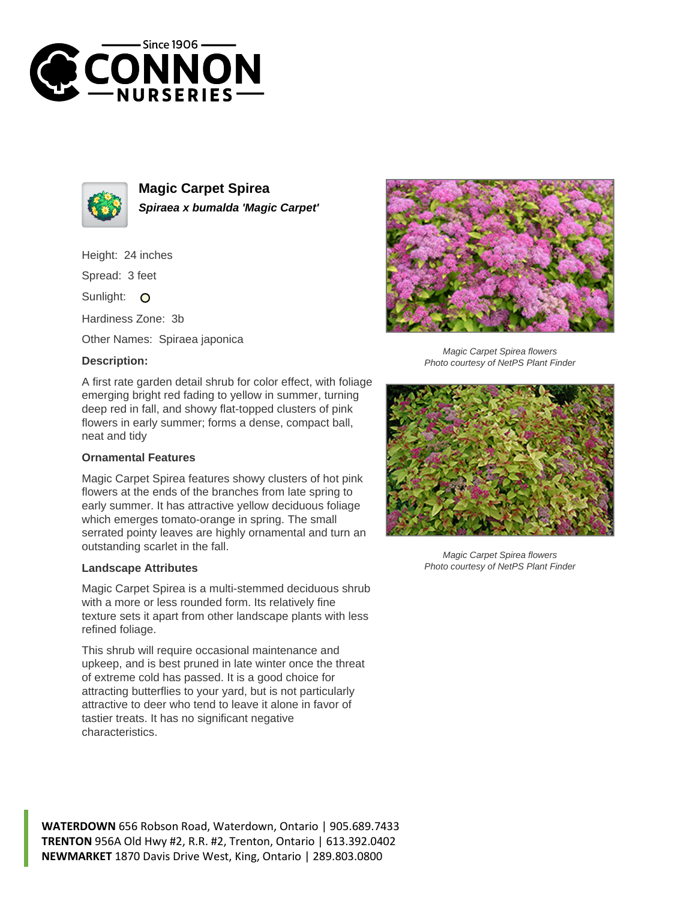



**Magic Carpet Spirea Spiraea x bumalda 'Magic Carpet'**

Height: 24 inches

Spread: 3 feet

Sunlight: O

Hardiness Zone: 3b

Other Names: Spiraea japonica

## **Description:**

A first rate garden detail shrub for color effect, with foliage emerging bright red fading to yellow in summer, turning deep red in fall, and showy flat-topped clusters of pink flowers in early summer; forms a dense, compact ball, neat and tidy

## **Ornamental Features**

Magic Carpet Spirea features showy clusters of hot pink flowers at the ends of the branches from late spring to early summer. It has attractive yellow deciduous foliage which emerges tomato-orange in spring. The small serrated pointy leaves are highly ornamental and turn an outstanding scarlet in the fall.

## **Landscape Attributes**

Magic Carpet Spirea is a multi-stemmed deciduous shrub with a more or less rounded form. Its relatively fine texture sets it apart from other landscape plants with less refined foliage.

This shrub will require occasional maintenance and upkeep, and is best pruned in late winter once the threat of extreme cold has passed. It is a good choice for attracting butterflies to your yard, but is not particularly attractive to deer who tend to leave it alone in favor of tastier treats. It has no significant negative characteristics.



Magic Carpet Spirea flowers Photo courtesy of NetPS Plant Finder



Magic Carpet Spirea flowers Photo courtesy of NetPS Plant Finder

**WATERDOWN** 656 Robson Road, Waterdown, Ontario | 905.689.7433 **TRENTON** 956A Old Hwy #2, R.R. #2, Trenton, Ontario | 613.392.0402 **NEWMARKET** 1870 Davis Drive West, King, Ontario | 289.803.0800